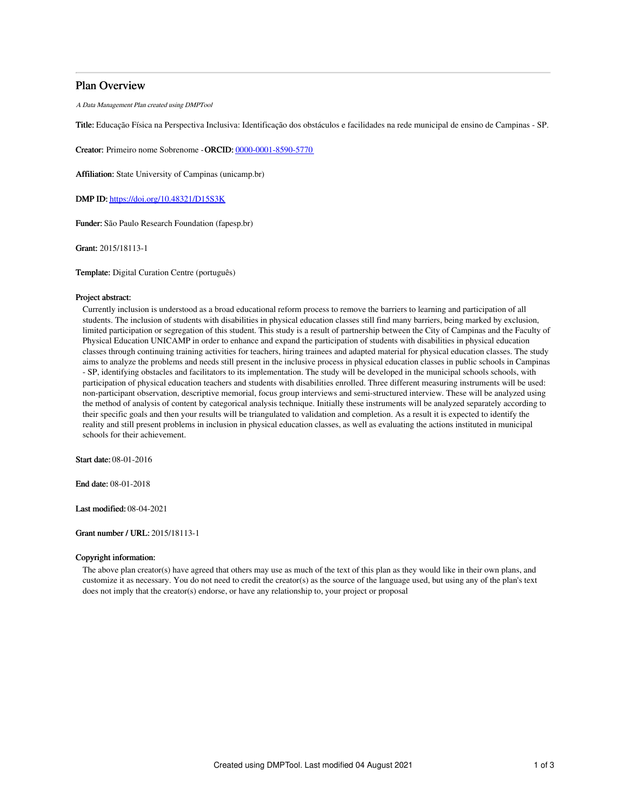# Plan Overview

A Data Management Plan created using DMPTool

Title: Educação Física na Perspectiva Inclusiva: Identificação dos obstáculos e facilidades na rede municipal de ensino de Campinas - SP.

Creator: Primeiro nome Sobrenome -ORCID: [0000-0001-8590-5770](https://orcid.org/0000-0001-8590-5770)

Affiliation: State University of Campinas (unicamp.br)

DMP ID: <https://doi.org/10.48321/D15S3K>

Funder: São Paulo Research Foundation (fapesp.br)

Grant: 2015/18113-1

Template: Digital Curation Centre (português)

# Project abstract:

Currently inclusion is understood as a broad educational reform process to remove the barriers to learning and participation of all students. The inclusion of students with disabilities in physical education classes still find many barriers, being marked by exclusion, limited participation or segregation of this student. This study is a result of partnership between the City of Campinas and the Faculty of Physical Education UNICAMP in order to enhance and expand the participation of students with disabilities in physical education classes through continuing training activities for teachers, hiring trainees and adapted material for physical education classes. The study aims to analyze the problems and needs still present in the inclusive process in physical education classes in public schools in Campinas - SP, identifying obstacles and facilitators to its implementation. The study will be developed in the municipal schools schools, with participation of physical education teachers and students with disabilities enrolled. Three different measuring instruments will be used: non-participant observation, descriptive memorial, focus group interviews and semi-structured interview. These will be analyzed using the method of analysis of content by categorical analysis technique. Initially these instruments will be analyzed separately according to their specific goals and then your results will be triangulated to validation and completion. As a result it is expected to identify the reality and still present problems in inclusion in physical education classes, as well as evaluating the actions instituted in municipal schools for their achievement.

Start date: 08-01-2016

End date: 08-01-2018

Last modified: 08-04-2021

# Grant number / URL: 2015/18113-1

# Copyright information:

The above plan creator(s) have agreed that others may use as much of the text of this plan as they would like in their own plans, and customize it as necessary. You do not need to credit the creator(s) as the source of the language used, but using any of the plan's text does not imply that the creator(s) endorse, or have any relationship to, your project or proposal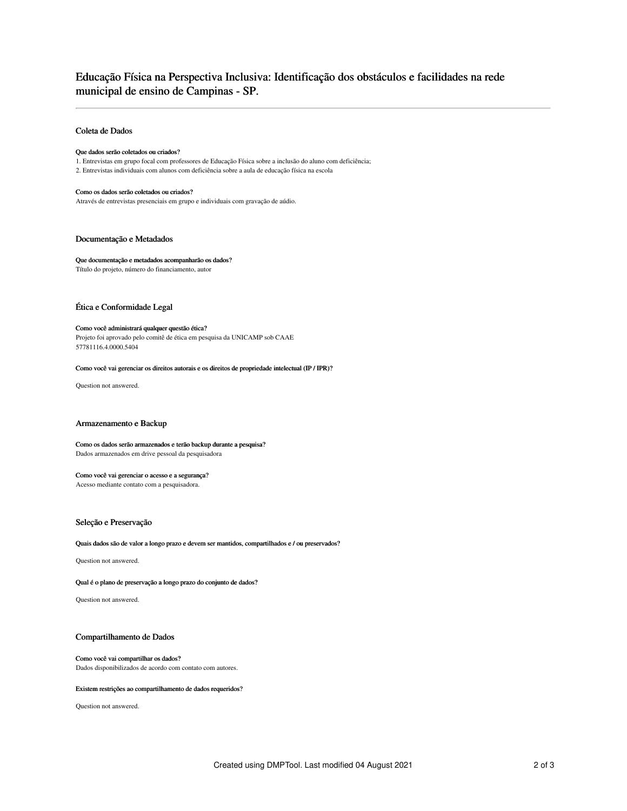# Educação Física na Perspectiva Inclusiva: Identificação dos obstáculos e facilidades na rede municipal de ensino de Campinas - SP.

# Coleta de Dados

# Que dados serão coletados ou criados?

1. Entrevistas em grupo focal com professores de Educação Física sobre a inclusão do aluno com deficiência; 2. Entrevistas individuais com alunos com deficiência sobre a aula de educação física na escola

### Como os dados serão coletados ou criados?

Através de entrevistas presenciais em grupo e individuais com gravação de aúdio.

# Documentação e Metadados

# Que documentação e metadados acompanharão os dados?

Título do projeto, número do financiamento, autor

# Ética e Conformidade Legal

#### Como você administrará qualquer questão ética?

Projeto foi aprovado pelo comitê de ética em pesquisa da UNICAMP sob CAAE 57781116.4.0000.5404

#### Como você vai gerenciar os direitos autorais e os direitos de propriedade intelectual (IP / IPR)?

Question not answered.

# Armazenamento e Backup

### Como os dados serão armazenados e terão backup durante a pesquisa? Dados armazenados em drive pessoal da pesquisadora

### Como você vai gerenciar o acesso e a segurança?

Acesso mediante contato com a pesquisadora.

# Seleção e Preservação

Quais dados são de valor a longo prazo e devem ser mantidos, compartilhados e / ou preservados?

Question not answered.

Qual é o plano de preservação a longo prazo do conjunto de dados?

Question not answered.

# Compartilhamento de Dados

### Como você vai compartilhar os dados? Dados disponibilizados de acordo com contato com autores.

#### Existem restrições ao compartilhamento de dados requeridos?

Question not answered.